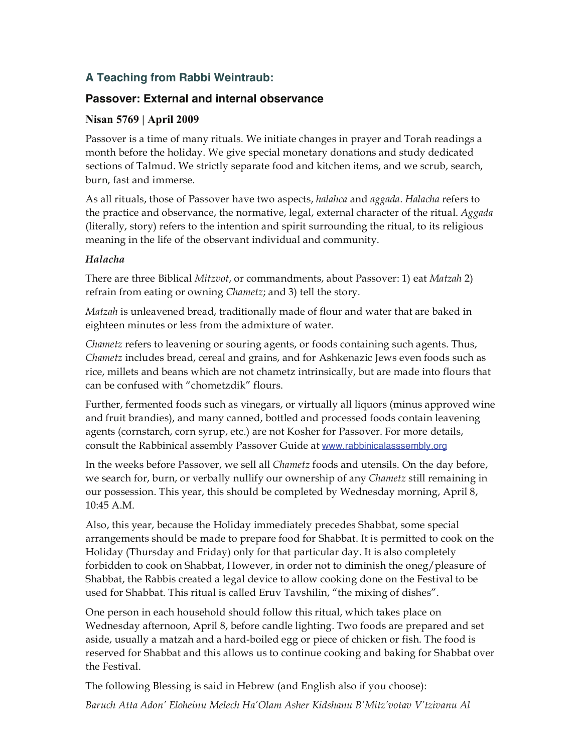# **A Teaching from Rabbi Weintraub:**

# **Passover: External and internal observance**

## **Nisan 5769 | April 2009**

Passover is a time of many rituals. We initiate changes in prayer and Torah readings a month before the holiday. We give special monetary donations and study dedicated sections of Talmud. We strictly separate food and kitchen items, and we scrub, search, burn, fast and immerse.

As all rituals, those of Passover have two aspects, *halahca* and *aggada*. *Halacha* refers to the practice and observance, the normative, legal, external character of the ritual. *Aggada* (literally, story) refers to the intention and spirit surrounding the ritual, to its religious meaning in the life of the observant individual and community.

#### *Halacha*

There are three Biblical *Mitzvot*, or commandments, about Passover: 1) eat *Matzah* 2) refrain from eating or owning *Chametz*; and 3) tell the story.

*Matzah* is unleavened bread, traditionally made of flour and water that are baked in eighteen minutes or less from the admixture of water.

*Chametz* refers to leavening or souring agents, or foods containing such agents. Thus, *Chametz* includes bread, cereal and grains, and for Ashkenazic Jews even foods such as rice, millets and beans which are not chametz intrinsically, but are made into flours that can be confused with "chometzdik" flours.

Further, fermented foods such as vinegars, or virtually all liquors (minus approved wine and fruit brandies), and many canned, bottled and processed foods contain leavening agents (cornstarch, corn syrup, etc.) are not Kosher for Passover. For more details, consult the Rabbinical assembly Passover Guide at www.rabbinicalasssembly.org

In the weeks before Passover, we sell all *Chametz* foods and utensils. On the day before, we search for, burn, or verbally nullify our ownership of any *Chametz* still remaining in our possession. This year, this should be completed by Wednesday morning, April 8, 10:45 A.M.

Also, this year, because the Holiday immediately precedes Shabbat, some special arrangements should be made to prepare food for Shabbat. It is permitted to cook on the Holiday (Thursday and Friday) only for that particular day. It is also completely forbidden to cook on Shabbat, However, in order not to diminish the oneg/pleasure of Shabbat, the Rabbis created a legal device to allow cooking done on the Festival to be used for Shabbat. This ritual is called Eruv Tavshilin, "the mixing of dishes".

One person in each household should follow this ritual, which takes place on Wednesday afternoon, April 8, before candle lighting. Two foods are prepared and set aside, usually a matzah and a hard-boiled egg or piece of chicken or fish. The food is reserved for Shabbat and this allows us to continue cooking and baking for Shabbat over the Festival.

The following Blessing is said in Hebrew (and English also if you choose):

*Baruch Atta Adon' Eloheinu Melech Ha'Olam Asher Kidshanu B'Mitz'votav V'tzivanu Al*